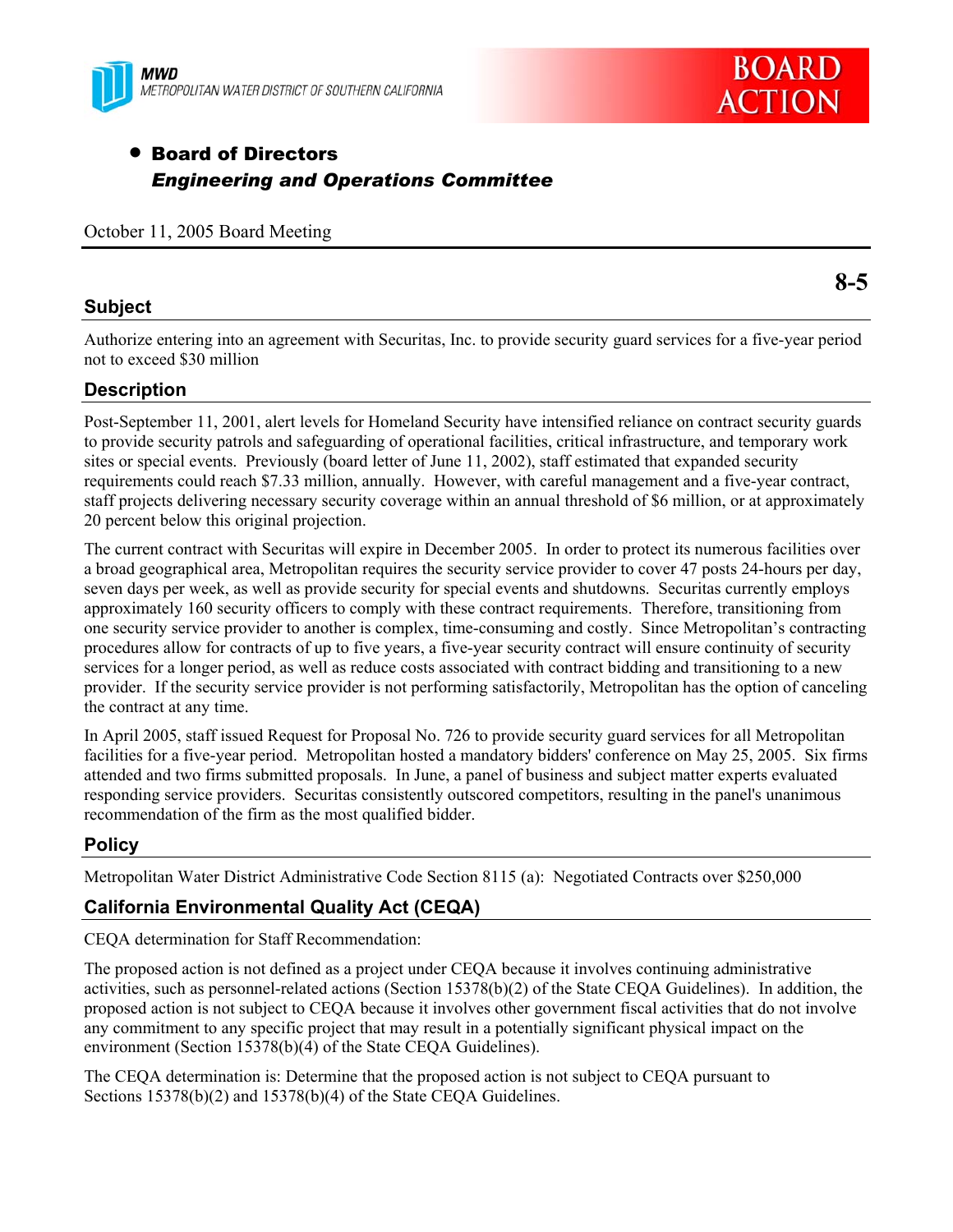



# • Board of Directors *Engineering and Operations Committee*

October 11, 2005 Board Meeting

#### **Subject**

**8-5** 

Authorize entering into an agreement with Securitas, Inc. to provide security guard services for a five-year period not to exceed \$30 million

### **Description**

Post-September 11, 2001, alert levels for Homeland Security have intensified reliance on contract security guards to provide security patrols and safeguarding of operational facilities, critical infrastructure, and temporary work sites or special events. Previously (board letter of June 11, 2002), staff estimated that expanded security requirements could reach \$7.33 million, annually. However, with careful management and a five-year contract, staff projects delivering necessary security coverage within an annual threshold of \$6 million, or at approximately 20 percent below this original projection.

The current contract with Securitas will expire in December 2005. In order to protect its numerous facilities over a broad geographical area, Metropolitan requires the security service provider to cover 47 posts 24-hours per day, seven days per week, as well as provide security for special events and shutdowns. Securitas currently employs approximately 160 security officers to comply with these contract requirements. Therefore, transitioning from one security service provider to another is complex, time-consuming and costly. Since Metropolitan's contracting procedures allow for contracts of up to five years, a five-year security contract will ensure continuity of security services for a longer period, as well as reduce costs associated with contract bidding and transitioning to a new provider. If the security service provider is not performing satisfactorily, Metropolitan has the option of canceling the contract at any time.

In April 2005, staff issued Request for Proposal No. 726 to provide security guard services for all Metropolitan facilities for a five-year period. Metropolitan hosted a mandatory bidders' conference on May 25, 2005. Six firms attended and two firms submitted proposals. In June, a panel of business and subject matter experts evaluated responding service providers. Securitas consistently outscored competitors, resulting in the panel's unanimous recommendation of the firm as the most qualified bidder.

## **Policy**

Metropolitan Water District Administrative Code Section 8115 (a): Negotiated Contracts over \$250,000

## **California Environmental Quality Act (CEQA)**

CEQA determination for Staff Recommendation:

The proposed action is not defined as a project under CEQA because it involves continuing administrative activities, such as personnel-related actions (Section 15378(b)(2) of the State CEQA Guidelines). In addition, the proposed action is not subject to CEQA because it involves other government fiscal activities that do not involve any commitment to any specific project that may result in a potentially significant physical impact on the environment (Section 15378(b)(4) of the State CEQA Guidelines).

The CEQA determination is: Determine that the proposed action is not subject to CEQA pursuant to Sections 15378(b)(2) and 15378(b)(4) of the State CEQA Guidelines.